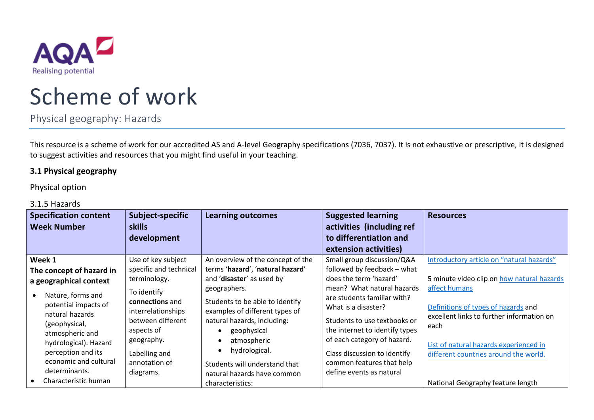

# Scheme of work

Physical geography: Hazards

This resource is a scheme of work for our accredited AS and A-level Geography specifications (7036, 7037). It is not exhaustive or prescriptive, it is designed to suggest activities and resources that you might find useful in your teaching.

## **3.1 Physical geography**

Physical option

### 3.1.5 Hazards

| <b>Specification content</b><br><b>Week Number</b>                                                                                                                                                                                       | Subject-specific<br><b>skills</b><br>development                                                                                                                                                        | <b>Learning outcomes</b>                                                                                                                                                                                                                                                                               | <b>Suggested learning</b><br>activities (including ref<br>to differentiation and                                                                                                                                                                                                                                                                               | <b>Resources</b>                                                                                                                                                                                                                                                                        |
|------------------------------------------------------------------------------------------------------------------------------------------------------------------------------------------------------------------------------------------|---------------------------------------------------------------------------------------------------------------------------------------------------------------------------------------------------------|--------------------------------------------------------------------------------------------------------------------------------------------------------------------------------------------------------------------------------------------------------------------------------------------------------|----------------------------------------------------------------------------------------------------------------------------------------------------------------------------------------------------------------------------------------------------------------------------------------------------------------------------------------------------------------|-----------------------------------------------------------------------------------------------------------------------------------------------------------------------------------------------------------------------------------------------------------------------------------------|
| Week 1<br>The concept of hazard in<br>a geographical context<br>Nature, forms and<br>potential impacts of<br>natural hazards<br>(geophysical,<br>atmospheric and<br>hydrological). Hazard<br>perception and its<br>economic and cultural | Use of key subject<br>specific and technical<br>terminology.<br>To identify<br>connections and<br>interrelationships<br>between different<br>aspects of<br>geography.<br>Labelling and<br>annotation of | An overview of the concept of the<br>terms 'hazard', 'natural hazard'<br>and 'disaster' as used by<br>geographers.<br>Students to be able to identify<br>examples of different types of<br>natural hazards, including:<br>geophysical<br>atmospheric<br>hydrological.<br>Students will understand that | extension activities)<br>Small group discussion/Q&A<br>followed by feedback - what<br>does the term 'hazard'<br>mean? What natural hazards<br>are students familiar with?<br>What is a disaster?<br>Students to use textbooks or<br>the internet to identify types<br>of each category of hazard.<br>Class discussion to identify<br>common features that help | Introductory article on "natural hazards"<br>5 minute video clip on how natural hazards<br>affect humans<br>Definitions of types of hazards and<br>excellent links to further information on<br>each<br>List of natural hazards experienced in<br>different countries around the world. |
| determinants.<br>Characteristic human                                                                                                                                                                                                    | diagrams.                                                                                                                                                                                               | natural hazards have common<br>characteristics:                                                                                                                                                                                                                                                        | define events as natural                                                                                                                                                                                                                                                                                                                                       | National Geography feature length                                                                                                                                                                                                                                                       |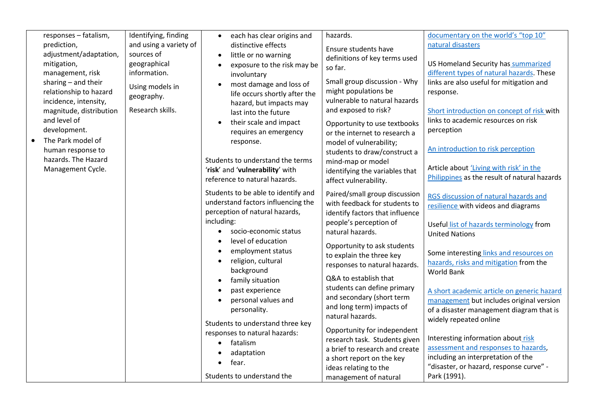| responses - fatalism,<br>prediction,<br>adjustment/adaptation,<br>mitigation,<br>management, risk<br>sharing - and their<br>relationship to hazard<br>incidence, intensity,<br>magnitude, distribution<br>and level of<br>development.<br>The Park model of<br>human response to<br>hazards. The Hazard<br>Management Cycle. | Identifying, finding<br>and using a variety of<br>sources of<br>geographical<br>information.<br>Using models in<br>geography.<br>Research skills. | each has clear origins and<br>$\bullet$<br>distinctive effects<br>little or no warning<br>$\bullet$<br>exposure to the risk may be<br>$\bullet$<br>involuntary<br>most damage and loss of<br>$\bullet$<br>life occurs shortly after the<br>hazard, but impacts may<br>last into the future<br>their scale and impact<br>$\bullet$<br>requires an emergency<br>response.<br>Students to understand the terms<br>'risk' and 'vulnerability' with<br>reference to natural hazards.                           | hazards.<br>Ensure students have<br>definitions of key terms used<br>so far.<br>Small group discussion - Why<br>might populations be<br>vulnerable to natural hazards<br>and exposed to risk?<br>Opportunity to use textbooks<br>or the internet to research a<br>model of vulnerability;<br>students to draw/construct a<br>mind-map or model<br>identifying the variables that<br>affect vulnerability.                                                                                                        | documentary on the world's "top 10"<br>natural disasters<br>US Homeland Security has summarized<br>different types of natural hazards. These<br>links are also useful for mitigation and<br>response.<br>Short introduction on concept of risk with<br>links to academic resources on risk<br>perception<br>An introduction to risk perception<br>Article about 'Living with risk' in the<br>Philippines as the result of natural hazards                                                                                               |
|------------------------------------------------------------------------------------------------------------------------------------------------------------------------------------------------------------------------------------------------------------------------------------------------------------------------------|---------------------------------------------------------------------------------------------------------------------------------------------------|-----------------------------------------------------------------------------------------------------------------------------------------------------------------------------------------------------------------------------------------------------------------------------------------------------------------------------------------------------------------------------------------------------------------------------------------------------------------------------------------------------------|------------------------------------------------------------------------------------------------------------------------------------------------------------------------------------------------------------------------------------------------------------------------------------------------------------------------------------------------------------------------------------------------------------------------------------------------------------------------------------------------------------------|-----------------------------------------------------------------------------------------------------------------------------------------------------------------------------------------------------------------------------------------------------------------------------------------------------------------------------------------------------------------------------------------------------------------------------------------------------------------------------------------------------------------------------------------|
|                                                                                                                                                                                                                                                                                                                              |                                                                                                                                                   | Students to be able to identify and<br>understand factors influencing the<br>perception of natural hazards,<br>including:<br>socio-economic status<br>$\bullet$<br>level of education<br>$\bullet$<br>employment status<br>$\bullet$<br>religion, cultural<br>$\bullet$<br>background<br>family situation<br>$\bullet$<br>past experience<br>$\bullet$<br>personal values and<br>$\bullet$<br>personality.<br>Students to understand three key<br>responses to natural hazards:<br>fatalism<br>adaptation | Paired/small group discussion<br>with feedback for students to<br>identify factors that influence<br>people's perception of<br>natural hazards.<br>Opportunity to ask students<br>to explain the three key<br>responses to natural hazards.<br>Q&A to establish that<br>students can define primary<br>and secondary (short term<br>and long term) impacts of<br>natural hazards.<br>Opportunity for independent<br>research task. Students given<br>a brief to research and create<br>a short report on the key | RGS discussion of natural hazards and<br>resilience with videos and diagrams<br>Useful list of hazards terminology from<br><b>United Nations</b><br>Some interesting links and resources on<br>hazards, risks and mitigation from the<br>World Bank<br>A short academic article on generic hazard<br>management but includes original version<br>of a disaster management diagram that is<br>widely repeated online<br>Interesting information about risk<br>assessment and responses to hazards,<br>including an interpretation of the |
|                                                                                                                                                                                                                                                                                                                              |                                                                                                                                                   | fear.<br>Students to understand the                                                                                                                                                                                                                                                                                                                                                                                                                                                                       | ideas relating to the<br>management of natural                                                                                                                                                                                                                                                                                                                                                                                                                                                                   | "disaster, or hazard, response curve" -<br>Park (1991).                                                                                                                                                                                                                                                                                                                                                                                                                                                                                 |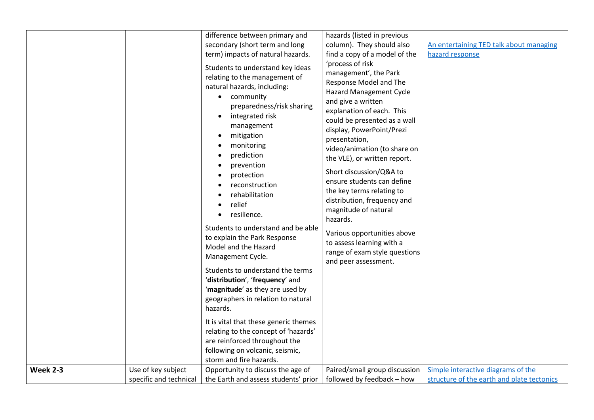|          |                                              | difference between primary and<br>secondary (short term and long                                                                                                                                                                                                                                                                                                              | hazards (listed in previous<br>column). They should also                                                                                                                                                                                                                                                                                                                                                                                                                                         | An entertaining TED talk about managing                                          |
|----------|----------------------------------------------|-------------------------------------------------------------------------------------------------------------------------------------------------------------------------------------------------------------------------------------------------------------------------------------------------------------------------------------------------------------------------------|--------------------------------------------------------------------------------------------------------------------------------------------------------------------------------------------------------------------------------------------------------------------------------------------------------------------------------------------------------------------------------------------------------------------------------------------------------------------------------------------------|----------------------------------------------------------------------------------|
|          |                                              | term) impacts of natural hazards.<br>Students to understand key ideas<br>relating to the management of<br>natural hazards, including:<br>community<br>$\bullet$<br>preparedness/risk sharing<br>integrated risk<br>$\bullet$<br>management<br>mitigation<br>monitoring<br>prediction<br>prevention<br>protection<br>reconstruction<br>rehabilitation<br>relief<br>resilience. | find a copy of a model of the<br>'process of risk<br>management', the Park<br>Response Model and The<br><b>Hazard Management Cycle</b><br>and give a written<br>explanation of each. This<br>could be presented as a wall<br>display, PowerPoint/Prezi<br>presentation,<br>video/animation (to share on<br>the VLE), or written report.<br>Short discussion/Q&A to<br>ensure students can define<br>the key terms relating to<br>distribution, frequency and<br>magnitude of natural<br>hazards. | hazard response                                                                  |
|          |                                              | Students to understand and be able<br>to explain the Park Response<br>Model and the Hazard<br>Management Cycle.                                                                                                                                                                                                                                                               | Various opportunities above<br>to assess learning with a<br>range of exam style questions<br>and peer assessment.                                                                                                                                                                                                                                                                                                                                                                                |                                                                                  |
|          |                                              | Students to understand the terms<br>'distribution', 'frequency' and<br>'magnitude' as they are used by<br>geographers in relation to natural<br>hazards.                                                                                                                                                                                                                      |                                                                                                                                                                                                                                                                                                                                                                                                                                                                                                  |                                                                                  |
|          |                                              | It is vital that these generic themes<br>relating to the concept of 'hazards'<br>are reinforced throughout the<br>following on volcanic, seismic,<br>storm and fire hazards.                                                                                                                                                                                                  |                                                                                                                                                                                                                                                                                                                                                                                                                                                                                                  |                                                                                  |
| Week 2-3 | Use of key subject<br>specific and technical | Opportunity to discuss the age of<br>the Earth and assess students' prior                                                                                                                                                                                                                                                                                                     | Paired/small group discussion<br>followed by feedback - how                                                                                                                                                                                                                                                                                                                                                                                                                                      | Simple interactive diagrams of the<br>structure of the earth and plate tectonics |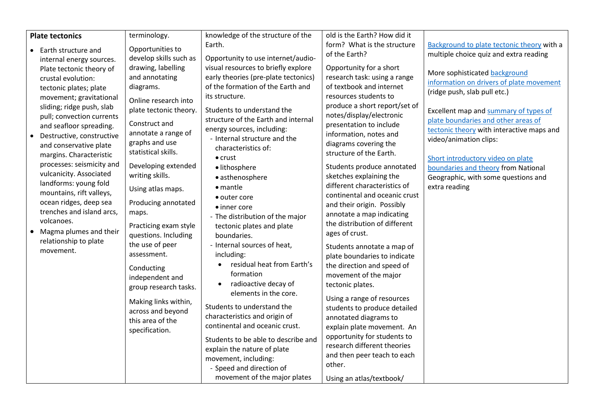| <b>Plate tectonics</b>    | terminology.           | knowledge of the structure of the    | old is the Earth? How did it  |                                            |
|---------------------------|------------------------|--------------------------------------|-------------------------------|--------------------------------------------|
|                           |                        | Earth.                               | form? What is the structure   | Background to plate tectonic theory with a |
| • Earth structure and     | Opportunities to       |                                      | of the Earth?                 | multiple choice quiz and extra reading     |
| internal energy sources.  | develop skills such as | Opportunity to use internet/audio-   |                               |                                            |
| Plate tectonic theory of  | drawing, labelling     | visual resources to briefly explore  | Opportunity for a short       | More sophisticated background              |
| crustal evolution:        | and annotating         | early theories (pre-plate tectonics) | research task: using a range  | information on drivers of plate movement   |
| tectonic plates; plate    | diagrams.              | of the formation of the Earth and    | of textbook and internet      | (ridge push, slab pull etc.)               |
| movement; gravitational   | Online research into   | its structure.                       | resources students to         |                                            |
| sliding; ridge push, slab | plate tectonic theory. | Students to understand the           | produce a short report/set of | Excellent map and summary of types of      |
| pull; convection currents |                        | structure of the Earth and internal  | notes/display/electronic      | plate boundaries and other areas of        |
| and seafloor spreading.   | Construct and          | energy sources, including:           | presentation to include       | tectonic theory with interactive maps and  |
| Destructive, constructive | annotate a range of    | - Internal structure and the         | information, notes and        | video/animation clips:                     |
| and conservative plate    | graphs and use         | characteristics of:                  | diagrams covering the         |                                            |
| margins. Characteristic   | statistical skills.    | $\bullet$ crust                      | structure of the Earth.       | Short introductory video on plate          |
| processes: seismicity and | Developing extended    | · lithosphere                        | Students produce annotated    | boundaries and theory from National        |
| vulcanicity. Associated   | writing skills.        | • asthenosphere                      | sketches explaining the       | Geographic, with some questions and        |
| landforms: young fold     |                        | $\bullet$ mantle                     | different characteristics of  | extra reading                              |
| mountains, rift valleys,  | Using atlas maps.      | • outer core                         | continental and oceanic crust |                                            |
| ocean ridges, deep sea    | Producing annotated    | • inner core                         | and their origin. Possibly    |                                            |
| trenches and island arcs, | maps.                  | - The distribution of the major      | annotate a map indicating     |                                            |
| volcanoes.                | Practicing exam style  | tectonic plates and plate            | the distribution of different |                                            |
| Magma plumes and their    | questions. Including   | boundaries.                          | ages of crust.                |                                            |
| relationship to plate     | the use of peer        | - Internal sources of heat,          |                               |                                            |
| movement.                 | assessment.            | including:                           | Students annotate a map of    |                                            |
|                           |                        | residual heat from Earth's           | plate boundaries to indicate  |                                            |
|                           | Conducting             | formation                            | the direction and speed of    |                                            |
|                           | independent and        | radioactive decay of<br>$\bullet$    | movement of the major         |                                            |
|                           | group research tasks.  | elements in the core.                | tectonic plates.              |                                            |
|                           | Making links within,   |                                      | Using a range of resources    |                                            |
|                           | across and beyond      | Students to understand the           | students to produce detailed  |                                            |
|                           | this area of the       | characteristics and origin of        | annotated diagrams to         |                                            |
|                           | specification.         | continental and oceanic crust.       | explain plate movement. An    |                                            |
|                           |                        | Students to be able to describe and  | opportunity for students to   |                                            |
|                           |                        | explain the nature of plate          | research different theories   |                                            |
|                           |                        | movement, including:                 | and then peer teach to each   |                                            |
|                           |                        | - Speed and direction of             | other.                        |                                            |
|                           |                        | movement of the major plates         | Using an atlas/textbook/      |                                            |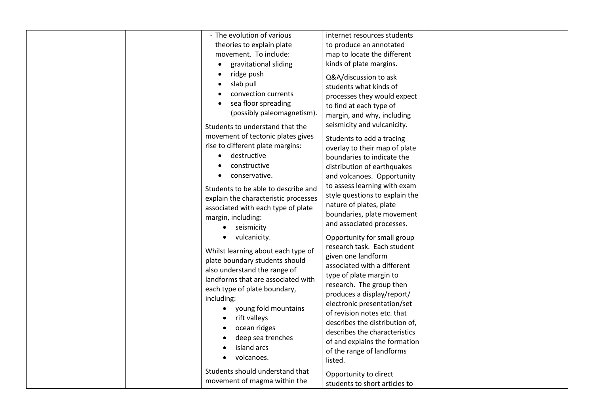| - The evolution of various                                                                                                                                                                                                                                                                                                      | internet resources students                                                                                                                                                                                                                                                                                                                                                                                    |  |
|---------------------------------------------------------------------------------------------------------------------------------------------------------------------------------------------------------------------------------------------------------------------------------------------------------------------------------|----------------------------------------------------------------------------------------------------------------------------------------------------------------------------------------------------------------------------------------------------------------------------------------------------------------------------------------------------------------------------------------------------------------|--|
| theories to explain plate<br>movement. To include:                                                                                                                                                                                                                                                                              | to produce an annotated<br>map to locate the different                                                                                                                                                                                                                                                                                                                                                         |  |
| gravitational sliding                                                                                                                                                                                                                                                                                                           | kinds of plate margins.                                                                                                                                                                                                                                                                                                                                                                                        |  |
| ridge push<br>slab pull<br>convection currents<br>sea floor spreading<br>(possibly paleomagnetism).                                                                                                                                                                                                                             | Q&A/discussion to ask<br>students what kinds of<br>processes they would expect<br>to find at each type of<br>margin, and why, including<br>seismicity and vulcanicity.                                                                                                                                                                                                                                         |  |
| Students to understand that the<br>movement of tectonic plates gives<br>rise to different plate margins:<br>destructive<br>constructive<br>conservative.                                                                                                                                                                        | Students to add a tracing<br>overlay to their map of plate<br>boundaries to indicate the<br>distribution of earthquakes<br>and volcanoes. Opportunity                                                                                                                                                                                                                                                          |  |
| Students to be able to describe and<br>explain the characteristic processes<br>associated with each type of plate<br>margin, including:<br>seismicity<br>$\bullet$                                                                                                                                                              | to assess learning with exam<br>style questions to explain the<br>nature of plates, plate<br>boundaries, plate movement<br>and associated processes.                                                                                                                                                                                                                                                           |  |
| vulcanicity.<br>Whilst learning about each type of<br>plate boundary students should<br>also understand the range of<br>landforms that are associated with<br>each type of plate boundary,<br>including:<br>young fold mountains<br>$\bullet$<br>rift valleys<br>ocean ridges<br>deep sea trenches<br>island arcs<br>volcanoes. | Opportunity for small group<br>research task. Each student<br>given one landform<br>associated with a different<br>type of plate margin to<br>research. The group then<br>produces a display/report/<br>electronic presentation/set<br>of revision notes etc. that<br>describes the distribution of,<br>describes the characteristics<br>of and explains the formation<br>of the range of landforms<br>listed. |  |
| Students should understand that<br>movement of magma within the                                                                                                                                                                                                                                                                 | Opportunity to direct<br>students to short articles to                                                                                                                                                                                                                                                                                                                                                         |  |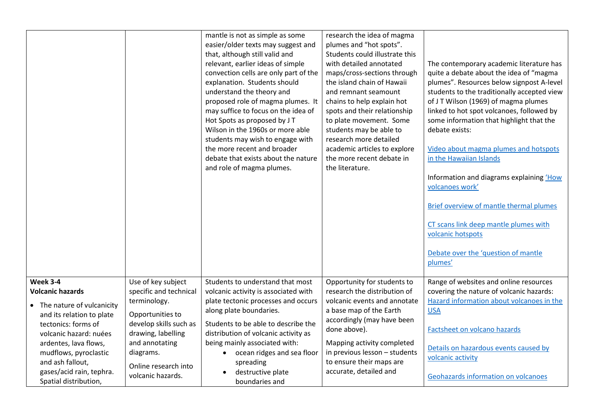|                                                                                              |                                                            | mantle is not as simple as some<br>easier/older texts may suggest and<br>that, although still valid and<br>relevant, earlier ideas of simple<br>convection cells are only part of the<br>explanation. Students should<br>understand the theory and<br>proposed role of magma plumes. It<br>may suffice to focus on the idea of<br>Hot Spots as proposed by J T<br>Wilson in the 1960s or more able<br>students may wish to engage with<br>the more recent and broader<br>debate that exists about the nature<br>and role of magma plumes. | research the idea of magma<br>plumes and "hot spots".<br>Students could illustrate this<br>with detailed annotated<br>maps/cross-sections through<br>the island chain of Hawaii<br>and remnant seamount<br>chains to help explain hot<br>spots and their relationship<br>to plate movement. Some<br>students may be able to<br>research more detailed<br>academic articles to explore<br>the more recent debate in<br>the literature. | The contemporary academic literature has<br>quite a debate about the idea of "magma<br>plumes". Resources below signpost A-level<br>students to the traditionally accepted view<br>of JT Wilson (1969) of magma plumes<br>linked to hot spot volcanoes, followed by<br>some information that highlight that the<br>debate exists:<br>Video about magma plumes and hotspots<br>in the Hawaiian Islands<br>Information and diagrams explaining 'How<br>volcanoes work'<br>Brief overview of mantle thermal plumes<br>CT scans link deep mantle plumes with<br>volcanic hotspots<br>Debate over the 'question of mantle<br>plumes' |
|----------------------------------------------------------------------------------------------|------------------------------------------------------------|-------------------------------------------------------------------------------------------------------------------------------------------------------------------------------------------------------------------------------------------------------------------------------------------------------------------------------------------------------------------------------------------------------------------------------------------------------------------------------------------------------------------------------------------|---------------------------------------------------------------------------------------------------------------------------------------------------------------------------------------------------------------------------------------------------------------------------------------------------------------------------------------------------------------------------------------------------------------------------------------|---------------------------------------------------------------------------------------------------------------------------------------------------------------------------------------------------------------------------------------------------------------------------------------------------------------------------------------------------------------------------------------------------------------------------------------------------------------------------------------------------------------------------------------------------------------------------------------------------------------------------------|
| Week 3-4                                                                                     | Use of key subject                                         | Students to understand that most                                                                                                                                                                                                                                                                                                                                                                                                                                                                                                          | Opportunity for students to                                                                                                                                                                                                                                                                                                                                                                                                           | Range of websites and online resources                                                                                                                                                                                                                                                                                                                                                                                                                                                                                                                                                                                          |
| <b>Volcanic hazards</b>                                                                      | specific and technical                                     | volcanic activity is associated with                                                                                                                                                                                                                                                                                                                                                                                                                                                                                                      | research the distribution of                                                                                                                                                                                                                                                                                                                                                                                                          | covering the nature of volcanic hazards:                                                                                                                                                                                                                                                                                                                                                                                                                                                                                                                                                                                        |
| • The nature of vulcanicity<br>and its relation to plate<br>tectonics: forms of              | terminology.<br>Opportunities to<br>develop skills such as | plate tectonic processes and occurs<br>along plate boundaries.<br>Students to be able to describe the                                                                                                                                                                                                                                                                                                                                                                                                                                     | volcanic events and annotate<br>a base map of the Earth<br>accordingly (may have been<br>done above).                                                                                                                                                                                                                                                                                                                                 | Hazard information about volcanoes in the<br><b>USA</b><br>Factsheet on volcano hazards                                                                                                                                                                                                                                                                                                                                                                                                                                                                                                                                         |
| volcanic hazard: nuées<br>ardentes, lava flows,<br>mudflows, pyroclastic<br>and ash fallout, | drawing, labelling<br>and annotating<br>diagrams.          | distribution of volcanic activity as<br>being mainly associated with:<br>ocean ridges and sea floor                                                                                                                                                                                                                                                                                                                                                                                                                                       | Mapping activity completed<br>in previous lesson - students<br>to ensure their maps are                                                                                                                                                                                                                                                                                                                                               | Details on hazardous events caused by<br>volcanic activity                                                                                                                                                                                                                                                                                                                                                                                                                                                                                                                                                                      |
| gases/acid rain, tephra.<br>Spatial distribution,                                            | Online research into<br>volcanic hazards.                  | spreading<br>destructive plate<br>boundaries and                                                                                                                                                                                                                                                                                                                                                                                                                                                                                          | accurate, detailed and                                                                                                                                                                                                                                                                                                                                                                                                                | Geohazards information on volcanoes                                                                                                                                                                                                                                                                                                                                                                                                                                                                                                                                                                                             |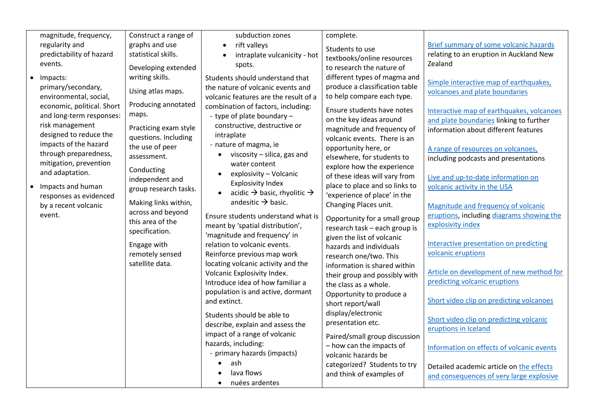| magnitude, frequency,          | Construct a range of  | subduction zones                                    | complete.                      |                                                                                      |
|--------------------------------|-----------------------|-----------------------------------------------------|--------------------------------|--------------------------------------------------------------------------------------|
| regularity and                 | graphs and use        |                                                     |                                |                                                                                      |
|                                |                       | rift valleys<br>$\bullet$                           | Students to use                | <b>Brief summary of some volcanic hazards</b>                                        |
| predictability of hazard       | statistical skills.   | intraplate vulcanicity - hot<br>$\bullet$           | textbooks/online resources     | relating to an eruption in Auckland New                                              |
| events.                        | Developing extended   | spots.                                              | to research the nature of      | Zealand                                                                              |
| Impacts:<br>$\bullet$          | writing skills.       | Students should understand that                     | different types of magma and   |                                                                                      |
| primary/secondary,             | Using atlas maps.     | the nature of volcanic events and                   | produce a classification table | Simple interactive map of earthquakes,                                               |
| environmental, social,         |                       | volcanic features are the result of a               | to help compare each type.     | volcanoes and plate boundaries                                                       |
| economic, political. Short     | Producing annotated   | combination of factors, including:                  | Ensure students have notes     |                                                                                      |
| and long-term responses:       | maps.                 | - type of plate boundary -                          | on the key ideas around        | Interactive map of earthquakes, volcanoes<br>and plate boundaries linking to further |
| risk management                | Practicing exam style | constructive, destructive or                        | magnitude and frequency of     | information about different features                                                 |
| designed to reduce the         | questions. Including  | intraplate                                          | volcanic events. There is an   |                                                                                      |
| impacts of the hazard          | the use of peer       | - nature of magma, ie                               | opportunity here, or           |                                                                                      |
| through preparedness,          | assessment.           | viscosity - silica, gas and<br>$\bullet$            | elsewhere, for students to     | A range of resources on volcanoes,<br>including podcasts and presentations           |
| mitigation, prevention         |                       | water content                                       | explore how the experience     |                                                                                      |
| and adaptation.                | Conducting            | explosivity - Volcanic<br>$\bullet$                 | of these ideas will vary from  | Live and up-to-date information on                                                   |
| Impacts and human<br>$\bullet$ | independent and       | <b>Explosivity Index</b>                            | place to place and so links to | volcanic activity in the USA                                                         |
| responses as evidenced         | group research tasks. | acidic $\rightarrow$ basic, rhyolitic $\rightarrow$ | 'experience of place' in the   |                                                                                      |
| by a recent volcanic           | Making links within,  | andesitic $\rightarrow$ basic.                      | Changing Places unit.          | Magnitude and frequency of volcanic                                                  |
| event.                         | across and beyond     |                                                     |                                | eruptions, including diagrams showing the                                            |
|                                | this area of the      | Ensure students understand what is                  | Opportunity for a small group  | explosivity index                                                                    |
|                                | specification.        | meant by 'spatial distribution',                    | research task - each group is  |                                                                                      |
|                                |                       | 'magnitude and frequency' in                        | given the list of volcanic     | Interactive presentation on predicting                                               |
|                                | Engage with           | relation to volcanic events.                        | hazards and individuals        | volcanic eruptions                                                                   |
|                                | remotely sensed       | Reinforce previous map work                         | research one/two. This         |                                                                                      |
|                                | satellite data.       | locating volcanic activity and the                  | information is shared within   | Article on development of new method for                                             |
|                                |                       | Volcanic Explosivity Index.                         | their group and possibly with  | predicting volcanic eruptions                                                        |
|                                |                       | Introduce idea of how familiar a                    | the class as a whole.          |                                                                                      |
|                                |                       | population is and active, dormant                   | Opportunity to produce a       |                                                                                      |
|                                |                       | and extinct.                                        | short report/wall              | Short video clip on predicting volcanoes                                             |
|                                |                       | Students should be able to                          | display/electronic             |                                                                                      |
|                                |                       | describe, explain and assess the                    | presentation etc.              | Short video clip on predicting volcanic<br>eruptions in Iceland                      |
|                                |                       | impact of a range of volcanic                       | Paired/small group discussion  |                                                                                      |
|                                |                       | hazards, including:                                 | - how can the impacts of       |                                                                                      |
|                                |                       | - primary hazards (impacts)                         | volcanic hazards be            | Information on effects of volcanic events                                            |
|                                |                       | ash                                                 | categorized? Students to try   |                                                                                      |
|                                |                       | lava flows                                          | and think of examples of       | Detailed academic article on the effects<br>and consequences of very large explosive |
|                                |                       | nuées ardentes                                      |                                |                                                                                      |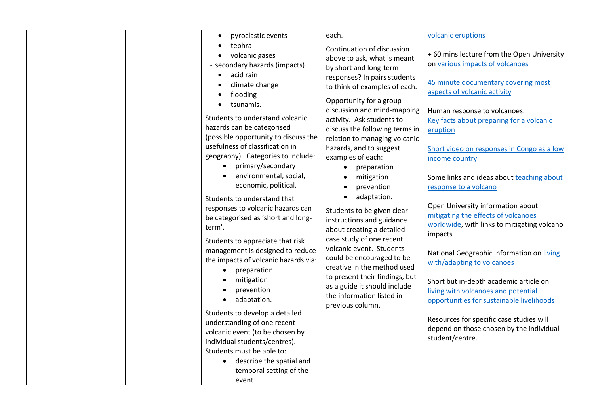| pyroclastic events                   | each.                          | volcanic eruptions                          |
|--------------------------------------|--------------------------------|---------------------------------------------|
| tephra                               | Continuation of discussion     |                                             |
| volcanic gases                       | above to ask, what is meant    | +60 mins lecture from the Open University   |
| - secondary hazards (impacts)        | by short and long-term         | on various impacts of volcanoes             |
| acid rain                            | responses? In pairs students   |                                             |
| climate change                       | to think of examples of each.  | 45 minute documentary covering most         |
| flooding                             |                                | aspects of volcanic activity                |
| tsunamis.                            | Opportunity for a group        |                                             |
| Students to understand volcanic      | discussion and mind-mapping    | Human response to volcanoes:                |
| hazards can be categorised           | activity. Ask students to      | Key facts about preparing for a volcanic    |
|                                      | discuss the following terms in | eruption                                    |
| (possible opportunity to discuss the | relation to managing volcanic  |                                             |
| usefulness of classification in      | hazards, and to suggest        | Short video on responses in Congo as a low  |
| geography). Categories to include:   | examples of each:              | income country                              |
| primary/secondary                    | preparation<br>$\bullet$       |                                             |
| environmental, social,               | mitigation                     | Some links and ideas about teaching about   |
| economic, political.                 | prevention                     | response to a volcano                       |
| Students to understand that          | adaptation.                    |                                             |
| responses to volcanic hazards can    | Students to be given clear     | Open University information about           |
| be categorised as 'short and long-   | instructions and guidance      | mitigating the effects of volcanoes         |
| term'.                               |                                | worldwide, with links to mitigating volcano |
|                                      | about creating a detailed      | impacts                                     |
| Students to appreciate that risk     | case study of one recent       |                                             |
| management is designed to reduce     | volcanic event. Students       | National Geographic information on living   |
| the impacts of volcanic hazards via: | could be encouraged to be      | with/adapting to volcanoes                  |
| preparation<br>$\bullet$             | creative in the method used    |                                             |
| mitigation                           | to present their findings, but | Short but in-depth academic article on      |
| prevention                           | as a guide it should include   | living with volcanoes and potential         |
| adaptation.                          | the information listed in      | opportunities for sustainable livelihoods   |
|                                      | previous column.               |                                             |
| Students to develop a detailed       |                                | Resources for specific case studies will    |
| understanding of one recent          |                                | depend on those chosen by the individual    |
| volcanic event (to be chosen by      |                                | student/centre.                             |
| individual students/centres).        |                                |                                             |
| Students must be able to:            |                                |                                             |
| • describe the spatial and           |                                |                                             |
| temporal setting of the              |                                |                                             |
| event                                |                                |                                             |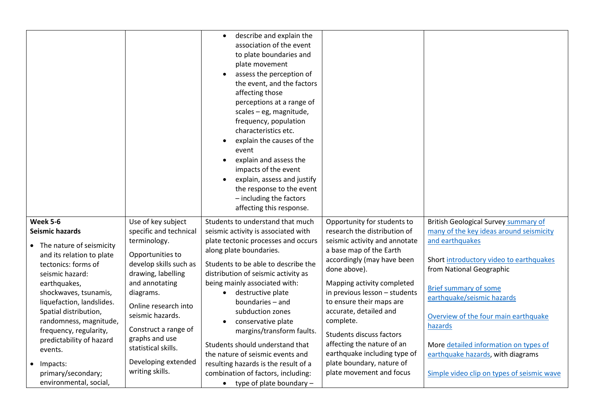|                                                         |                                        | describe and explain the<br>$\bullet$<br>association of the event<br>to plate boundaries and<br>plate movement<br>assess the perception of<br>$\bullet$<br>the event, and the factors<br>affecting those<br>perceptions at a range of<br>scales - eg, magnitude,<br>frequency, population<br>characteristics etc.<br>explain the causes of the<br>event<br>explain and assess the<br>$\bullet$<br>impacts of the event<br>explain, assess and justify<br>$\bullet$<br>the response to the event<br>- including the factors<br>affecting this response. |                                                               |                                                            |
|---------------------------------------------------------|----------------------------------------|--------------------------------------------------------------------------------------------------------------------------------------------------------------------------------------------------------------------------------------------------------------------------------------------------------------------------------------------------------------------------------------------------------------------------------------------------------------------------------------------------------------------------------------------------------|---------------------------------------------------------------|------------------------------------------------------------|
| <b>Week 5-6</b>                                         | Use of key subject                     | Students to understand that much                                                                                                                                                                                                                                                                                                                                                                                                                                                                                                                       | Opportunity for students to                                   | <b>British Geological Survey summary of</b>                |
| <b>Seismic hazards</b>                                  | specific and technical<br>terminology. | seismic activity is associated with<br>plate tectonic processes and occurs                                                                                                                                                                                                                                                                                                                                                                                                                                                                             | research the distribution of<br>seismic activity and annotate | many of the key ideas around seismicity<br>and earthquakes |
| • The nature of seismicity<br>and its relation to plate | Opportunities to                       | along plate boundaries.                                                                                                                                                                                                                                                                                                                                                                                                                                                                                                                                | a base map of the Earth                                       |                                                            |
| tectonics: forms of                                     | develop skills such as                 | Students to be able to describe the                                                                                                                                                                                                                                                                                                                                                                                                                                                                                                                    | accordingly (may have been                                    | Short introductory video to earthquakes                    |
| seismic hazard:                                         | drawing, labelling                     | distribution of seismic activity as                                                                                                                                                                                                                                                                                                                                                                                                                                                                                                                    | done above).                                                  | from National Geographic                                   |
| earthquakes,                                            | and annotating                         | being mainly associated with:                                                                                                                                                                                                                                                                                                                                                                                                                                                                                                                          | Mapping activity completed                                    | <b>Brief summary of some</b>                               |
| shockwaves, tsunamis,                                   | diagrams.                              | destructive plate                                                                                                                                                                                                                                                                                                                                                                                                                                                                                                                                      | in previous lesson - students                                 | earthquake/seismic hazards                                 |
| liquefaction, landslides.<br>Spatial distribution,      | Online research into                   | boundaries - and<br>subduction zones                                                                                                                                                                                                                                                                                                                                                                                                                                                                                                                   | to ensure their maps are<br>accurate, detailed and            |                                                            |
| randomness, magnitude,                                  | seismic hazards.                       | conservative plate                                                                                                                                                                                                                                                                                                                                                                                                                                                                                                                                     | complete.                                                     | Overview of the four main earthquake                       |
| frequency, regularity,                                  | Construct a range of                   | margins/transform faults.                                                                                                                                                                                                                                                                                                                                                                                                                                                                                                                              | Students discuss factors                                      | hazards                                                    |
| predictability of hazard                                | graphs and use                         | Students should understand that                                                                                                                                                                                                                                                                                                                                                                                                                                                                                                                        | affecting the nature of an                                    | More detailed information on types of                      |
| events.                                                 | statistical skills.                    | the nature of seismic events and                                                                                                                                                                                                                                                                                                                                                                                                                                                                                                                       | earthquake including type of                                  | earthquake hazards, with diagrams                          |
| Impacts:                                                | Developing extended                    | resulting hazards is the result of a                                                                                                                                                                                                                                                                                                                                                                                                                                                                                                                   | plate boundary, nature of                                     |                                                            |
| primary/secondary;                                      | writing skills.                        | combination of factors, including:                                                                                                                                                                                                                                                                                                                                                                                                                                                                                                                     | plate movement and focus                                      | Simple video clip on types of seismic wave                 |
| environmental, social,                                  |                                        | type of plate boundary -<br>$\bullet$                                                                                                                                                                                                                                                                                                                                                                                                                                                                                                                  |                                                               |                                                            |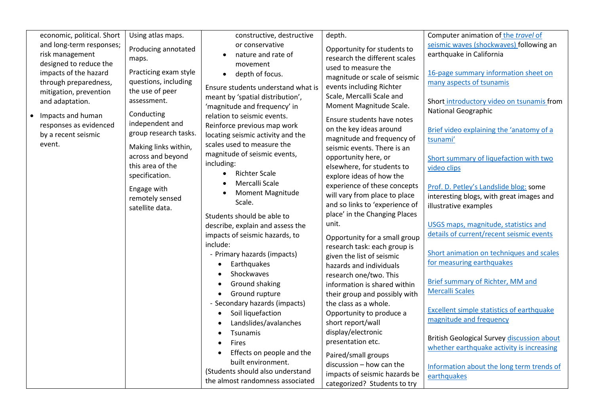| economic, political. Short<br>Using atlas maps.                                                                                           | constructive, destructive                                                                       | depth.                                                                                          | Computer animation of the travel of                                                                         |
|-------------------------------------------------------------------------------------------------------------------------------------------|-------------------------------------------------------------------------------------------------|-------------------------------------------------------------------------------------------------|-------------------------------------------------------------------------------------------------------------|
| and long-term responses;<br>Producing annotated<br>risk management<br>maps.<br>designed to reduce the                                     | or conservative<br>nature and rate of<br>movement                                               | Opportunity for students to<br>research the different scales                                    | seismic waves (shockwaves) following an<br>earthquake in California                                         |
| Practicing exam style<br>impacts of the hazard<br>questions, including<br>through preparedness,                                           | depth of focus.<br>$\bullet$<br>Ensure students understand what is                              | used to measure the<br>magnitude or scale of seismic<br>events including Richter                | 16-page summary information sheet on<br>many aspects of tsunamis                                            |
| the use of peer<br>mitigation, prevention<br>assessment.<br>and adaptation.                                                               | meant by 'spatial distribution',<br>'magnitude and frequency' in                                | Scale, Mercalli Scale and<br>Moment Magnitude Scale.                                            | Short introductory video on tsunamis from<br>National Geographic                                            |
| Conducting<br>Impacts and human<br>$\bullet$<br>independent and<br>responses as evidenced<br>group research tasks.<br>by a recent seismic | relation to seismic events.<br>Reinforce previous map work<br>locating seismic activity and the | Ensure students have notes<br>on the key ideas around                                           | Brief video explaining the 'anatomy of a                                                                    |
| event.<br>Making links within,<br>across and beyond                                                                                       | scales used to measure the<br>magnitude of seismic events,                                      | magnitude and frequency of<br>seismic events. There is an<br>opportunity here, or               | tsunami'<br>Short summary of liquefaction with two                                                          |
| this area of the<br>specification.                                                                                                        | including:<br><b>Richter Scale</b><br>Mercalli Scale                                            | elsewhere, for students to<br>explore ideas of how the                                          | video clips                                                                                                 |
| Engage with<br>remotely sensed<br>satellite data.                                                                                         | Moment Magnitude<br>Scale.                                                                      | experience of these concepts<br>will vary from place to place<br>and so links to 'experience of | Prof. D. Petley's Landslide blog: some<br>interesting blogs, with great images and<br>illustrative examples |
|                                                                                                                                           | Students should be able to<br>describe, explain and assess the                                  | place' in the Changing Places<br>unit.                                                          | USGS maps, magnitude, statistics and<br>details of current/recent seismic events                            |
|                                                                                                                                           | impacts of seismic hazards, to<br>include:<br>- Primary hazards (impacts)                       | Opportunity for a small group<br>research task: each group is<br>given the list of seismic      | Short animation on techniques and scales                                                                    |
|                                                                                                                                           | Earthquakes<br>Shockwaves<br>Ground shaking                                                     | hazards and individuals<br>research one/two. This<br>information is shared within               | for measuring earthquakes<br>Brief summary of Richter, MM and                                               |
|                                                                                                                                           | Ground rupture<br>- Secondary hazards (impacts)                                                 | their group and possibly with<br>the class as a whole.                                          | <b>Mercalli Scales</b>                                                                                      |
|                                                                                                                                           | Soil liquefaction<br>$\bullet$<br>Landslides/avalanches                                         | Opportunity to produce a<br>short report/wall<br>display/electronic                             | Excellent simple statistics of earthquake<br>magnitude and frequency                                        |
|                                                                                                                                           | Tsunamis<br>$\bullet$<br>Fires<br>Effects on people and the                                     | presentation etc.<br>Paired/small groups                                                        | <b>British Geological Survey discussion about</b><br>whether earthquake activity is increasing              |
|                                                                                                                                           | built environment.<br>(Students should also understand<br>the almost randomness associated      | $discussion - how can the$<br>impacts of seismic hazards be<br>categorized? Students to try     | Information about the long term trends of<br>earthquakes                                                    |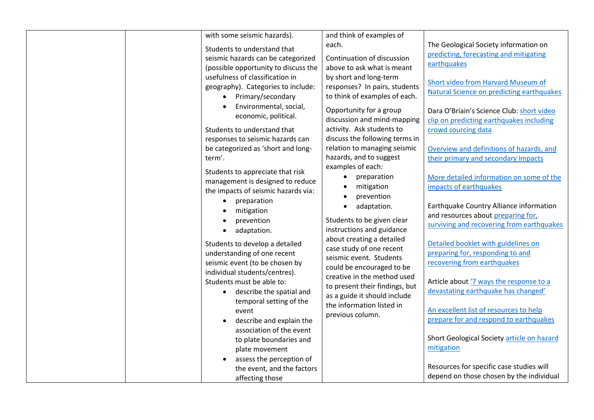| with some seismic hazards).<br>Students to understand that<br>seismic hazards can be categorized<br>(possible opportunity to discuss the<br>usefulness of classification in<br>geography). Categories to include:<br>• Primary/secondary<br>Environmental, social,<br>economic, political.<br>Students to understand that<br>responses to seismic hazards can<br>be categorized as 'short and long-<br>term'.<br>Students to appreciate that risk<br>management is designed to reduce<br>the impacts of seismic hazards via:<br>preparation<br>mitigation<br>prevention<br>adaptation.<br>Students to develop a detailed | and think of examples of<br>each.<br>Continuation of discussion<br>above to ask what is meant<br>by short and long-term<br>responses? In pairs, students<br>to think of examples of each.<br>Opportunity for a group<br>discussion and mind-mapping<br>activity. Ask students to<br>discuss the following terms in<br>relation to managing seismic<br>hazards, and to suggest<br>examples of each:<br>preparation<br>$\bullet$<br>mitigation<br>prevention<br>adaptation.<br>$\bullet$<br>Students to be given clear<br>instructions and guidance<br>about creating a detailed<br>case study of one recent | The Geological Society information on<br>predicting, forecasting and mitigating<br>earthquakes<br>Short video from Harvard Museum of<br>Natural Science on predicting earthquakes<br>Dara O'Briain's Science Club: short video<br>clip on predicting earthquakes including<br>crowd sourcing data<br>Overview and definitions of hazards, and<br>their primary and secondary impacts<br>More detailed information on some of the<br>impacts of earthquakes<br>Earthquake Country Alliance information<br>and resources about preparing for,<br>surviving and recovering from earthquakes<br>Detailed booklet with guidelines on |
|--------------------------------------------------------------------------------------------------------------------------------------------------------------------------------------------------------------------------------------------------------------------------------------------------------------------------------------------------------------------------------------------------------------------------------------------------------------------------------------------------------------------------------------------------------------------------------------------------------------------------|------------------------------------------------------------------------------------------------------------------------------------------------------------------------------------------------------------------------------------------------------------------------------------------------------------------------------------------------------------------------------------------------------------------------------------------------------------------------------------------------------------------------------------------------------------------------------------------------------------|---------------------------------------------------------------------------------------------------------------------------------------------------------------------------------------------------------------------------------------------------------------------------------------------------------------------------------------------------------------------------------------------------------------------------------------------------------------------------------------------------------------------------------------------------------------------------------------------------------------------------------|
|                                                                                                                                                                                                                                                                                                                                                                                                                                                                                                                                                                                                                          |                                                                                                                                                                                                                                                                                                                                                                                                                                                                                                                                                                                                            |                                                                                                                                                                                                                                                                                                                                                                                                                                                                                                                                                                                                                                 |
|                                                                                                                                                                                                                                                                                                                                                                                                                                                                                                                                                                                                                          |                                                                                                                                                                                                                                                                                                                                                                                                                                                                                                                                                                                                            |                                                                                                                                                                                                                                                                                                                                                                                                                                                                                                                                                                                                                                 |
|                                                                                                                                                                                                                                                                                                                                                                                                                                                                                                                                                                                                                          |                                                                                                                                                                                                                                                                                                                                                                                                                                                                                                                                                                                                            |                                                                                                                                                                                                                                                                                                                                                                                                                                                                                                                                                                                                                                 |
|                                                                                                                                                                                                                                                                                                                                                                                                                                                                                                                                                                                                                          |                                                                                                                                                                                                                                                                                                                                                                                                                                                                                                                                                                                                            |                                                                                                                                                                                                                                                                                                                                                                                                                                                                                                                                                                                                                                 |
|                                                                                                                                                                                                                                                                                                                                                                                                                                                                                                                                                                                                                          |                                                                                                                                                                                                                                                                                                                                                                                                                                                                                                                                                                                                            |                                                                                                                                                                                                                                                                                                                                                                                                                                                                                                                                                                                                                                 |
|                                                                                                                                                                                                                                                                                                                                                                                                                                                                                                                                                                                                                          |                                                                                                                                                                                                                                                                                                                                                                                                                                                                                                                                                                                                            |                                                                                                                                                                                                                                                                                                                                                                                                                                                                                                                                                                                                                                 |
|                                                                                                                                                                                                                                                                                                                                                                                                                                                                                                                                                                                                                          |                                                                                                                                                                                                                                                                                                                                                                                                                                                                                                                                                                                                            |                                                                                                                                                                                                                                                                                                                                                                                                                                                                                                                                                                                                                                 |
|                                                                                                                                                                                                                                                                                                                                                                                                                                                                                                                                                                                                                          |                                                                                                                                                                                                                                                                                                                                                                                                                                                                                                                                                                                                            |                                                                                                                                                                                                                                                                                                                                                                                                                                                                                                                                                                                                                                 |
|                                                                                                                                                                                                                                                                                                                                                                                                                                                                                                                                                                                                                          |                                                                                                                                                                                                                                                                                                                                                                                                                                                                                                                                                                                                            |                                                                                                                                                                                                                                                                                                                                                                                                                                                                                                                                                                                                                                 |
|                                                                                                                                                                                                                                                                                                                                                                                                                                                                                                                                                                                                                          |                                                                                                                                                                                                                                                                                                                                                                                                                                                                                                                                                                                                            |                                                                                                                                                                                                                                                                                                                                                                                                                                                                                                                                                                                                                                 |
|                                                                                                                                                                                                                                                                                                                                                                                                                                                                                                                                                                                                                          |                                                                                                                                                                                                                                                                                                                                                                                                                                                                                                                                                                                                            |                                                                                                                                                                                                                                                                                                                                                                                                                                                                                                                                                                                                                                 |
|                                                                                                                                                                                                                                                                                                                                                                                                                                                                                                                                                                                                                          |                                                                                                                                                                                                                                                                                                                                                                                                                                                                                                                                                                                                            |                                                                                                                                                                                                                                                                                                                                                                                                                                                                                                                                                                                                                                 |
|                                                                                                                                                                                                                                                                                                                                                                                                                                                                                                                                                                                                                          |                                                                                                                                                                                                                                                                                                                                                                                                                                                                                                                                                                                                            |                                                                                                                                                                                                                                                                                                                                                                                                                                                                                                                                                                                                                                 |
| understanding of one recent                                                                                                                                                                                                                                                                                                                                                                                                                                                                                                                                                                                              | seismic event. Students                                                                                                                                                                                                                                                                                                                                                                                                                                                                                                                                                                                    | preparing for, responding to and                                                                                                                                                                                                                                                                                                                                                                                                                                                                                                                                                                                                |
| seismic event (to be chosen by                                                                                                                                                                                                                                                                                                                                                                                                                                                                                                                                                                                           | could be encouraged to be                                                                                                                                                                                                                                                                                                                                                                                                                                                                                                                                                                                  | recovering from earthquakes                                                                                                                                                                                                                                                                                                                                                                                                                                                                                                                                                                                                     |
| individual students/centres).                                                                                                                                                                                                                                                                                                                                                                                                                                                                                                                                                                                            | creative in the method used                                                                                                                                                                                                                                                                                                                                                                                                                                                                                                                                                                                |                                                                                                                                                                                                                                                                                                                                                                                                                                                                                                                                                                                                                                 |
| Students must be able to:                                                                                                                                                                                                                                                                                                                                                                                                                                                                                                                                                                                                | to present their findings, but                                                                                                                                                                                                                                                                                                                                                                                                                                                                                                                                                                             | Article about '7 ways the response to a                                                                                                                                                                                                                                                                                                                                                                                                                                                                                                                                                                                         |
| describe the spatial and<br>$\bullet$                                                                                                                                                                                                                                                                                                                                                                                                                                                                                                                                                                                    | as a guide it should include                                                                                                                                                                                                                                                                                                                                                                                                                                                                                                                                                                               | devastating earthquake has changed'                                                                                                                                                                                                                                                                                                                                                                                                                                                                                                                                                                                             |
| temporal setting of the                                                                                                                                                                                                                                                                                                                                                                                                                                                                                                                                                                                                  | the information listed in                                                                                                                                                                                                                                                                                                                                                                                                                                                                                                                                                                                  | An excellent list of resources to help                                                                                                                                                                                                                                                                                                                                                                                                                                                                                                                                                                                          |
| event                                                                                                                                                                                                                                                                                                                                                                                                                                                                                                                                                                                                                    | previous column.                                                                                                                                                                                                                                                                                                                                                                                                                                                                                                                                                                                           | prepare for and respond to earthquakes                                                                                                                                                                                                                                                                                                                                                                                                                                                                                                                                                                                          |
| describe and explain the<br>association of the event                                                                                                                                                                                                                                                                                                                                                                                                                                                                                                                                                                     |                                                                                                                                                                                                                                                                                                                                                                                                                                                                                                                                                                                                            |                                                                                                                                                                                                                                                                                                                                                                                                                                                                                                                                                                                                                                 |
| to plate boundaries and                                                                                                                                                                                                                                                                                                                                                                                                                                                                                                                                                                                                  |                                                                                                                                                                                                                                                                                                                                                                                                                                                                                                                                                                                                            | Short Geological Society article on hazard                                                                                                                                                                                                                                                                                                                                                                                                                                                                                                                                                                                      |
| plate movement                                                                                                                                                                                                                                                                                                                                                                                                                                                                                                                                                                                                           |                                                                                                                                                                                                                                                                                                                                                                                                                                                                                                                                                                                                            | mitigation                                                                                                                                                                                                                                                                                                                                                                                                                                                                                                                                                                                                                      |
| assess the perception of                                                                                                                                                                                                                                                                                                                                                                                                                                                                                                                                                                                                 |                                                                                                                                                                                                                                                                                                                                                                                                                                                                                                                                                                                                            |                                                                                                                                                                                                                                                                                                                                                                                                                                                                                                                                                                                                                                 |
| the event, and the factors                                                                                                                                                                                                                                                                                                                                                                                                                                                                                                                                                                                               |                                                                                                                                                                                                                                                                                                                                                                                                                                                                                                                                                                                                            | Resources for specific case studies will                                                                                                                                                                                                                                                                                                                                                                                                                                                                                                                                                                                        |
| affecting those                                                                                                                                                                                                                                                                                                                                                                                                                                                                                                                                                                                                          |                                                                                                                                                                                                                                                                                                                                                                                                                                                                                                                                                                                                            | depend on those chosen by the individual                                                                                                                                                                                                                                                                                                                                                                                                                                                                                                                                                                                        |
|                                                                                                                                                                                                                                                                                                                                                                                                                                                                                                                                                                                                                          |                                                                                                                                                                                                                                                                                                                                                                                                                                                                                                                                                                                                            |                                                                                                                                                                                                                                                                                                                                                                                                                                                                                                                                                                                                                                 |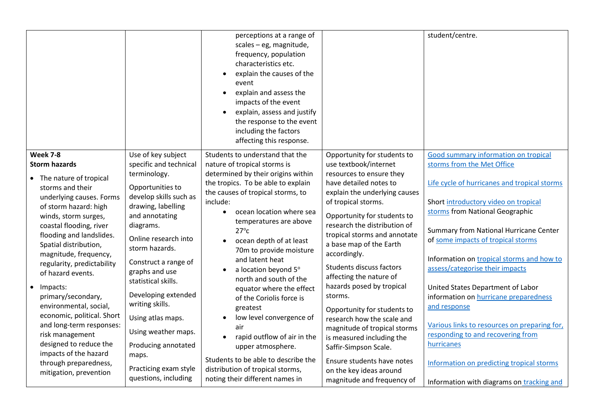|                                                                                                                                                                                                                                                                                                                                                                                                                                                                                                                                                                                 |                                                                                                                                                                                                                                                                                                                                                                                                                                                   | perceptions at a range of<br>scales - eg, magnitude,<br>frequency, population<br>characteristics etc.<br>explain the causes of the<br>event<br>explain and assess the<br>$\bullet$<br>impacts of the event<br>explain, assess and justify<br>$\bullet$<br>the response to the event<br>including the factors<br>affecting this response.                                                                                                                                                                                                                                                                                                                                 |                                                                                                                                                                                                                                                                                                                                                                                                                                                                                                                                                                                                                                                       | student/centre.                                                                                                                                                                                                                                                                                                                                                                                                                                                                                                                                                                                                                                          |
|---------------------------------------------------------------------------------------------------------------------------------------------------------------------------------------------------------------------------------------------------------------------------------------------------------------------------------------------------------------------------------------------------------------------------------------------------------------------------------------------------------------------------------------------------------------------------------|---------------------------------------------------------------------------------------------------------------------------------------------------------------------------------------------------------------------------------------------------------------------------------------------------------------------------------------------------------------------------------------------------------------------------------------------------|--------------------------------------------------------------------------------------------------------------------------------------------------------------------------------------------------------------------------------------------------------------------------------------------------------------------------------------------------------------------------------------------------------------------------------------------------------------------------------------------------------------------------------------------------------------------------------------------------------------------------------------------------------------------------|-------------------------------------------------------------------------------------------------------------------------------------------------------------------------------------------------------------------------------------------------------------------------------------------------------------------------------------------------------------------------------------------------------------------------------------------------------------------------------------------------------------------------------------------------------------------------------------------------------------------------------------------------------|----------------------------------------------------------------------------------------------------------------------------------------------------------------------------------------------------------------------------------------------------------------------------------------------------------------------------------------------------------------------------------------------------------------------------------------------------------------------------------------------------------------------------------------------------------------------------------------------------------------------------------------------------------|
| <b>Week 7-8</b><br><b>Storm hazards</b><br>• The nature of tropical<br>storms and their<br>underlying causes. Forms<br>of storm hazard: high<br>winds, storm surges,<br>coastal flooding, river<br>flooding and landslides.<br>Spatial distribution,<br>magnitude, frequency,<br>regularity, predictability<br>of hazard events.<br>Impacts:<br>primary/secondary,<br>environmental, social,<br>economic, political. Short<br>and long-term responses:<br>risk management<br>designed to reduce the<br>impacts of the hazard<br>through preparedness,<br>mitigation, prevention | Use of key subject<br>specific and technical<br>terminology.<br>Opportunities to<br>develop skills such as<br>drawing, labelling<br>and annotating<br>diagrams.<br>Online research into<br>storm hazards.<br>Construct a range of<br>graphs and use<br>statistical skills.<br>Developing extended<br>writing skills.<br>Using atlas maps.<br>Using weather maps.<br>Producing annotated<br>maps.<br>Practicing exam style<br>questions, including | Students to understand that the<br>nature of tropical storms is<br>determined by their origins within<br>the tropics. To be able to explain<br>the causes of tropical storms, to<br>include:<br>ocean location where sea<br>temperatures are above<br>$27^{\circ}$ c<br>ocean depth of at least<br>70m to provide moisture<br>and latent heat<br>a location beyond 5°<br>north and south of the<br>equator where the effect<br>of the Coriolis force is<br>greatest<br>low level convergence of<br>air<br>rapid outflow of air in the<br>upper atmosphere.<br>Students to be able to describe the<br>distribution of tropical storms,<br>noting their different names in | Opportunity for students to<br>use textbook/internet<br>resources to ensure they<br>have detailed notes to<br>explain the underlying causes<br>of tropical storms.<br>Opportunity for students to<br>research the distribution of<br>tropical storms and annotate<br>a base map of the Earth<br>accordingly.<br>Students discuss factors<br>affecting the nature of<br>hazards posed by tropical<br>storms.<br>Opportunity for students to<br>research how the scale and<br>magnitude of tropical storms<br>is measured including the<br>Saffir-Simpson Scale.<br>Ensure students have notes<br>on the key ideas around<br>magnitude and frequency of | Good summary information on tropical<br>storms from the Met Office<br>Life cycle of hurricanes and tropical storms<br>Short introductory video on tropical<br>storms from National Geographic<br>Summary from National Hurricane Center<br>of some impacts of tropical storms<br>Information on tropical storms and how to<br>assess/categorise their impacts<br>United States Department of Labor<br>information on hurricane preparedness<br>and response<br>Various links to resources on preparing for,<br>responding to and recovering from<br>hurricanes<br>Information on predicting tropical storms<br>Information with diagrams on tracking and |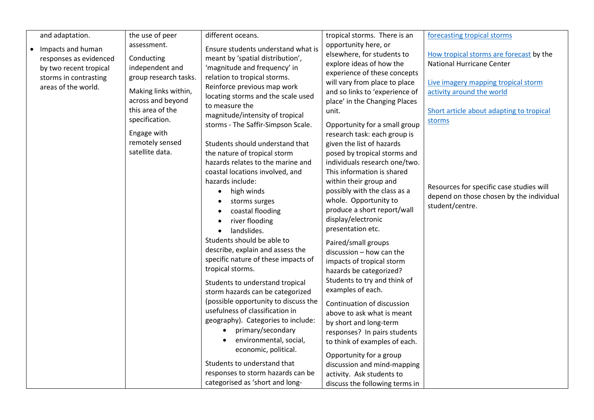| and adaptation.        | the use of peer                           | different oceans.                                                       | tropical storms. There is an   | forecasting tropical storms              |
|------------------------|-------------------------------------------|-------------------------------------------------------------------------|--------------------------------|------------------------------------------|
| • Impacts and human    | assessment.                               | Ensure students understand what is                                      | opportunity here, or           |                                          |
| responses as evidenced | Conducting                                | meant by 'spatial distribution',                                        | elsewhere, for students to     | How tropical storms are forecast by the  |
| by two recent tropical | independent and                           | 'magnitude and frequency' in                                            | explore ideas of how the       | <b>National Hurricane Center</b>         |
| storms in contrasting  | group research tasks.                     | relation to tropical storms.                                            | experience of these concepts   |                                          |
| areas of the world.    |                                           | Reinforce previous map work                                             | will vary from place to place  | Live imagery mapping tropical storm      |
|                        | Making links within,<br>across and beyond | locating storms and the scale used                                      | and so links to 'experience of | activity around the world                |
|                        | this area of the                          | to measure the                                                          | place' in the Changing Places  |                                          |
|                        |                                           | magnitude/intensity of tropical                                         | unit.                          | Short article about adapting to tropical |
|                        | specification.                            | storms - The Saffir-Simpson Scale.                                      | Opportunity for a small group  | storms                                   |
|                        | Engage with                               |                                                                         | research task: each group is   |                                          |
|                        | remotely sensed                           | Students should understand that                                         | given the list of hazards      |                                          |
|                        | satellite data.                           | the nature of tropical storm                                            | posed by tropical storms and   |                                          |
|                        |                                           | hazards relates to the marine and                                       | individuals research one/two.  |                                          |
|                        |                                           | coastal locations involved, and                                         | This information is shared     |                                          |
|                        |                                           | hazards include:                                                        | within their group and         |                                          |
|                        |                                           | high winds<br>$\bullet$                                                 | possibly with the class as a   | Resources for specific case studies will |
|                        |                                           | storms surges                                                           | whole. Opportunity to          | depend on those chosen by the individual |
|                        |                                           | coastal flooding                                                        | produce a short report/wall    | student/centre.                          |
|                        |                                           | river flooding<br>$\bullet$                                             | display/electronic             |                                          |
|                        |                                           | landslides.                                                             | presentation etc.              |                                          |
|                        |                                           | Students should be able to                                              | Paired/small groups            |                                          |
|                        |                                           | describe, explain and assess the                                        | discussion - how can the       |                                          |
|                        |                                           | specific nature of these impacts of                                     | impacts of tropical storm      |                                          |
|                        |                                           | tropical storms.                                                        | hazards be categorized?        |                                          |
|                        |                                           |                                                                         | Students to try and think of   |                                          |
|                        |                                           | Students to understand tropical                                         | examples of each.              |                                          |
|                        |                                           | storm hazards can be categorized                                        |                                |                                          |
|                        |                                           | (possible opportunity to discuss the<br>usefulness of classification in | Continuation of discussion     |                                          |
|                        |                                           |                                                                         | above to ask what is meant     |                                          |
|                        |                                           | geography). Categories to include:                                      | by short and long-term         |                                          |
|                        |                                           | primary/secondary                                                       | responses? In pairs students   |                                          |
|                        |                                           | environmental, social,                                                  | to think of examples of each.  |                                          |
|                        |                                           | economic, political.                                                    | Opportunity for a group        |                                          |
|                        |                                           | Students to understand that                                             | discussion and mind-mapping    |                                          |
|                        |                                           | responses to storm hazards can be                                       | activity. Ask students to      |                                          |
|                        |                                           | categorised as 'short and long-                                         | discuss the following terms in |                                          |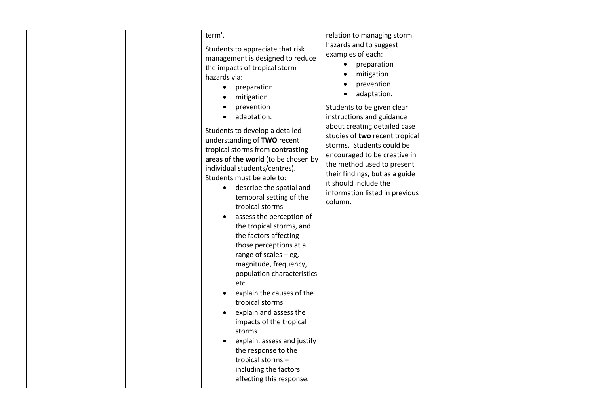| term'.<br>Students to appreciate that risk<br>management is designed to reduce<br>the impacts of tropical storm<br>hazards via:<br>preparation<br>$\bullet$<br>mitigation<br>prevention<br>adaptation.<br>Students to develop a detailed<br>understanding of TWO recent<br>tropical storms from contrasting<br>areas of the world (to be chosen by<br>individual students/centres).<br>Students must be able to:<br>describe the spatial and<br>temporal setting of the<br>tropical storms<br>assess the perception of<br>the tropical storms, and<br>the factors affecting<br>those perceptions at a<br>range of scales $-$ eg,<br>magnitude, frequency,<br>population characteristics<br>etc.<br>explain the causes of the<br>tropical storms<br>explain and assess the<br>impacts of the tropical<br>storms<br>explain, assess and justify<br>the response to the<br>tropical storms-<br>including the factors<br>affecting this response. | relation to managing storm<br>hazards and to suggest<br>examples of each:<br>preparation<br>$\bullet$<br>mitigation<br>prevention<br>adaptation.<br>$\bullet$<br>Students to be given clear<br>instructions and guidance<br>about creating detailed case<br>studies of two recent tropical<br>storms. Students could be<br>encouraged to be creative in<br>the method used to present<br>their findings, but as a guide<br>it should include the<br>information listed in previous<br>column. |
|-----------------------------------------------------------------------------------------------------------------------------------------------------------------------------------------------------------------------------------------------------------------------------------------------------------------------------------------------------------------------------------------------------------------------------------------------------------------------------------------------------------------------------------------------------------------------------------------------------------------------------------------------------------------------------------------------------------------------------------------------------------------------------------------------------------------------------------------------------------------------------------------------------------------------------------------------|-----------------------------------------------------------------------------------------------------------------------------------------------------------------------------------------------------------------------------------------------------------------------------------------------------------------------------------------------------------------------------------------------------------------------------------------------------------------------------------------------|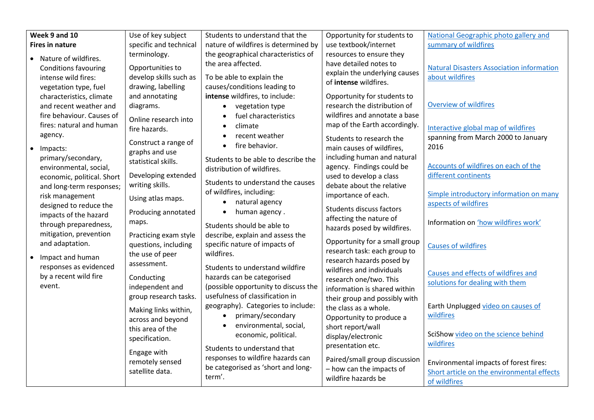| Week 9 and 10                                      | Use of key subject     | Students to understand that the      | Opportunity for students to   | National Geographic photo gallery and            |
|----------------------------------------------------|------------------------|--------------------------------------|-------------------------------|--------------------------------------------------|
| <b>Fires in nature</b>                             | specific and technical | nature of wildfires is determined by | use textbook/internet         | summary of wildfires                             |
| • Nature of wildfires.                             | terminology.           | the geographical characteristics of  | resources to ensure they      |                                                  |
|                                                    | Opportunities to       | the area affected.                   | have detailed notes to        | <b>Natural Disasters Association information</b> |
| <b>Conditions favouring</b><br>intense wild fires: | develop skills such as | To be able to explain the            | explain the underlying causes | about wildfires                                  |
| vegetation type, fuel                              | drawing, labelling     | causes/conditions leading to         | of intense wildfires.         |                                                  |
| characteristics, climate                           | and annotating         | intense wildfires, to include:       | Opportunity for students to   |                                                  |
| and recent weather and                             | diagrams.              | vegetation type                      | research the distribution of  | <b>Overview of wildfires</b>                     |
| fire behaviour. Causes of                          |                        | fuel characteristics                 | wildfires and annotate a base |                                                  |
| fires: natural and human                           | Online research into   | climate                              | map of the Earth accordingly. |                                                  |
| agency.                                            | fire hazards.          | recent weather                       |                               | Interactive global map of wildfires              |
|                                                    | Construct a range of   | fire behavior.                       | Students to research the      | spanning from March 2000 to January              |
| Impacts:                                           | graphs and use         |                                      | main causes of wildfires,     | 2016                                             |
| primary/secondary,                                 | statistical skills.    | Students to be able to describe the  | including human and natural   |                                                  |
| environmental, social,                             |                        | distribution of wildfires.           | agency. Findings could be     | Accounts of wildfires on each of the             |
| economic, political. Short                         | Developing extended    | Students to understand the causes    | used to develop a class       | different continents                             |
| and long-term responses;                           | writing skills.        | of wildfires, including:             | debate about the relative     | Simple introductory information on many          |
| risk management                                    | Using atlas maps.      | natural agency                       | importance of each.           | aspects of wildfires                             |
| designed to reduce the                             | Producing annotated    | human agency.                        | Students discuss factors      |                                                  |
| impacts of the hazard                              | maps.                  |                                      | affecting the nature of       | Information on 'how wildfires work'              |
| through preparedness,                              |                        | Students should be able to           | hazards posed by wildfires.   |                                                  |
| mitigation, prevention                             | Practicing exam style  | describe, explain and assess the     | Opportunity for a small group |                                                  |
| and adaptation.                                    | questions, including   | specific nature of impacts of        | research task: each group to  | <b>Causes of wildfires</b>                       |
| Impact and human                                   | the use of peer        | wildfires.                           | research hazards posed by     |                                                  |
| responses as evidenced                             | assessment.            | Students to understand wildfire      | wildfires and individuals     |                                                  |
| by a recent wild fire                              | Conducting             | hazards can be categorised           | research one/two. This        | Causes and effects of wildfires and              |
| event.                                             | independent and        | (possible opportunity to discuss the | information is shared within  | solutions for dealing with them                  |
|                                                    | group research tasks.  | usefulness of classification in      | their group and possibly with |                                                  |
|                                                    | Making links within,   | geography). Categories to include:   | the class as a whole.         | Earth Unplugged video on causes of               |
|                                                    | across and beyond      | primary/secondary                    | Opportunity to produce a      | wildfires                                        |
|                                                    | this area of the       | environmental, social,               | short report/wall             |                                                  |
|                                                    | specification.         | economic, political.                 | display/electronic            | SciShow video on the science behind              |
|                                                    |                        | Students to understand that          | presentation etc.             | wildfires                                        |
|                                                    | Engage with            | responses to wildfire hazards can    | Paired/small group discussion |                                                  |
|                                                    | remotely sensed        | be categorised as 'short and long-   | - how can the impacts of      | Environmental impacts of forest fires:           |
|                                                    | satellite data.        | term'.                               | wildfire hazards be           | Short article on the environmental effects       |
|                                                    |                        |                                      |                               | of wildfires                                     |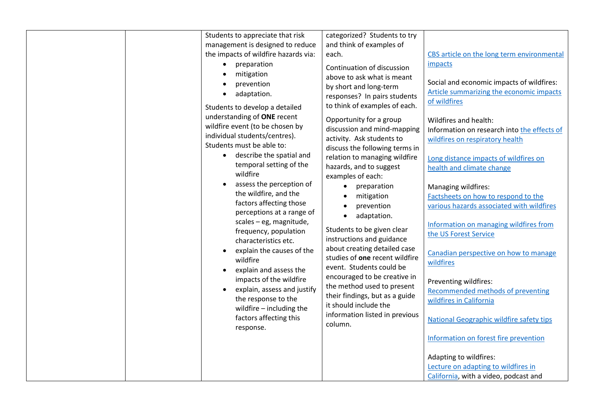| Students to appreciate that risk<br>management is designed to reduce<br>the impacts of wildfire hazards via:<br>preparation<br>$\bullet$<br>mitigation<br>$\bullet$<br>prevention<br>adaptation.<br>Students to develop a detailed<br>understanding of ONE recent<br>wildfire event (to be chosen by<br>individual students/centres).<br>Students must be able to:<br>describe the spatial and<br>$\bullet$<br>temporal setting of the               | categorized? Students to try<br>and think of examples of<br>each.<br>Continuation of discussion<br>above to ask what is meant<br>by short and long-term<br>responses? In pairs students<br>to think of examples of each.<br>Opportunity for a group<br>discussion and mind-mapping<br>activity. Ask students to<br>discuss the following terms in<br>relation to managing wildfire<br>hazards, and to suggest                        | CBS article on the long term environmental<br>impacts<br>Social and economic impacts of wildfires:<br>Article summarizing the economic impacts<br>of wildfires<br>Wildfires and health:<br>Information on research into the effects of<br>wildfires on respiratory health<br>Long distance impacts of wildfires on<br>health and climate change                                                                                                                                                                                 |
|------------------------------------------------------------------------------------------------------------------------------------------------------------------------------------------------------------------------------------------------------------------------------------------------------------------------------------------------------------------------------------------------------------------------------------------------------|--------------------------------------------------------------------------------------------------------------------------------------------------------------------------------------------------------------------------------------------------------------------------------------------------------------------------------------------------------------------------------------------------------------------------------------|---------------------------------------------------------------------------------------------------------------------------------------------------------------------------------------------------------------------------------------------------------------------------------------------------------------------------------------------------------------------------------------------------------------------------------------------------------------------------------------------------------------------------------|
| wildfire<br>assess the perception of<br>the wildfire, and the<br>factors affecting those<br>perceptions at a range of<br>scales - eg, magnitude,<br>frequency, population<br>characteristics etc.<br>explain the causes of the<br>wildfire<br>explain and assess the<br>$\bullet$<br>impacts of the wildfire<br>explain, assess and justify<br>$\bullet$<br>the response to the<br>wildfire $-$ including the<br>factors affecting this<br>response. | examples of each:<br>preparation<br>$\bullet$<br>mitigation<br>prevention<br>adaptation.<br>$\bullet$<br>Students to be given clear<br>instructions and guidance<br>about creating detailed case<br>studies of one recent wildfire<br>event. Students could be<br>encouraged to be creative in<br>the method used to present<br>their findings, but as a guide<br>it should include the<br>information listed in previous<br>column. | Managing wildfires:<br>Factsheets on how to respond to the<br>various hazards associated with wildfires<br>Information on managing wildfires from<br>the US Forest Service<br>Canadian perspective on how to manage<br>wildfires<br>Preventing wildfires:<br>Recommended methods of preventing<br>wildfires in California<br><b>National Geographic wildfire safety tips</b><br>Information on forest fire prevention<br>Adapting to wildfires:<br>Lecture on adapting to wildfires in<br>California, with a video, podcast and |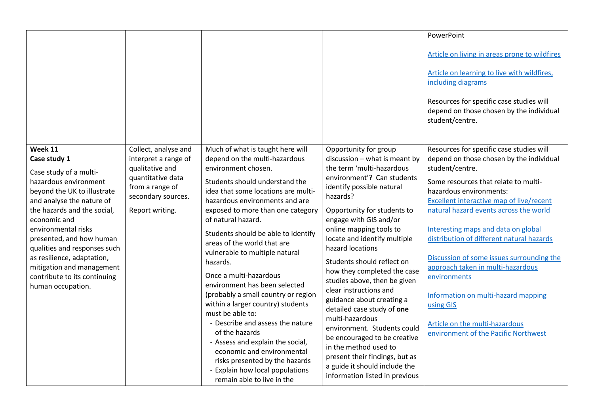|                                                                                                                                                                                                                                                                                                                                                                                          |                                                                                                                                                  |                                                                                                                                                                                                                                                                                                                                                                                                                                                                                                                                                                                                                                                                                                                                            |                                                                                                                                                                                                                                                                                                                                                                                                                                                                                                                                                                                                                                                                    | PowerPoint                                                                                                                                                                                                                                                                                                                                                                                                                                                                                                                                                                           |
|------------------------------------------------------------------------------------------------------------------------------------------------------------------------------------------------------------------------------------------------------------------------------------------------------------------------------------------------------------------------------------------|--------------------------------------------------------------------------------------------------------------------------------------------------|--------------------------------------------------------------------------------------------------------------------------------------------------------------------------------------------------------------------------------------------------------------------------------------------------------------------------------------------------------------------------------------------------------------------------------------------------------------------------------------------------------------------------------------------------------------------------------------------------------------------------------------------------------------------------------------------------------------------------------------------|--------------------------------------------------------------------------------------------------------------------------------------------------------------------------------------------------------------------------------------------------------------------------------------------------------------------------------------------------------------------------------------------------------------------------------------------------------------------------------------------------------------------------------------------------------------------------------------------------------------------------------------------------------------------|--------------------------------------------------------------------------------------------------------------------------------------------------------------------------------------------------------------------------------------------------------------------------------------------------------------------------------------------------------------------------------------------------------------------------------------------------------------------------------------------------------------------------------------------------------------------------------------|
|                                                                                                                                                                                                                                                                                                                                                                                          |                                                                                                                                                  |                                                                                                                                                                                                                                                                                                                                                                                                                                                                                                                                                                                                                                                                                                                                            |                                                                                                                                                                                                                                                                                                                                                                                                                                                                                                                                                                                                                                                                    | Article on living in areas prone to wildfires                                                                                                                                                                                                                                                                                                                                                                                                                                                                                                                                        |
|                                                                                                                                                                                                                                                                                                                                                                                          |                                                                                                                                                  |                                                                                                                                                                                                                                                                                                                                                                                                                                                                                                                                                                                                                                                                                                                                            |                                                                                                                                                                                                                                                                                                                                                                                                                                                                                                                                                                                                                                                                    | Article on learning to live with wildfires,<br>including diagrams                                                                                                                                                                                                                                                                                                                                                                                                                                                                                                                    |
|                                                                                                                                                                                                                                                                                                                                                                                          |                                                                                                                                                  |                                                                                                                                                                                                                                                                                                                                                                                                                                                                                                                                                                                                                                                                                                                                            |                                                                                                                                                                                                                                                                                                                                                                                                                                                                                                                                                                                                                                                                    | Resources for specific case studies will<br>depend on those chosen by the individual<br>student/centre.                                                                                                                                                                                                                                                                                                                                                                                                                                                                              |
| Week 11<br>Case study 1<br>Case study of a multi-<br>hazardous environment<br>beyond the UK to illustrate<br>and analyse the nature of<br>the hazards and the social,<br>economic and<br>environmental risks<br>presented, and how human<br>qualities and responses such<br>as resilience, adaptation,<br>mitigation and management<br>contribute to its continuing<br>human occupation. | Collect, analyse and<br>interpret a range of<br>qualitative and<br>quantitative data<br>from a range of<br>secondary sources.<br>Report writing. | Much of what is taught here will<br>depend on the multi-hazardous<br>environment chosen.<br>Students should understand the<br>idea that some locations are multi-<br>hazardous environments and are<br>exposed to more than one category<br>of natural hazard.<br>Students should be able to identify<br>areas of the world that are<br>vulnerable to multiple natural<br>hazards.<br>Once a multi-hazardous<br>environment has been selected<br>(probably a small country or region<br>within a larger country) students<br>must be able to:<br>- Describe and assess the nature<br>of the hazards<br>- Assess and explain the social,<br>economic and environmental<br>risks presented by the hazards<br>- Explain how local populations | Opportunity for group<br>discussion - what is meant by<br>the term 'multi-hazardous<br>environment'? Can students<br>identify possible natural<br>hazards?<br>Opportunity for students to<br>engage with GIS and/or<br>online mapping tools to<br>locate and identify multiple<br>hazard locations<br>Students should reflect on<br>how they completed the case<br>studies above, then be given<br>clear instructions and<br>guidance about creating a<br>detailed case study of one<br>multi-hazardous<br>environment. Students could<br>be encouraged to be creative<br>in the method used to<br>present their findings, but as<br>a guide it should include the | Resources for specific case studies will<br>depend on those chosen by the individual<br>student/centre.<br>Some resources that relate to multi-<br>hazardous environments:<br>Excellent interactive map of live/recent<br>natural hazard events across the world<br>Interesting maps and data on global<br>distribution of different natural hazards<br>Discussion of some issues surrounding the<br>approach taken in multi-hazardous<br>environments<br>Information on multi-hazard mapping<br>using GIS<br>Article on the multi-hazardous<br>environment of the Pacific Northwest |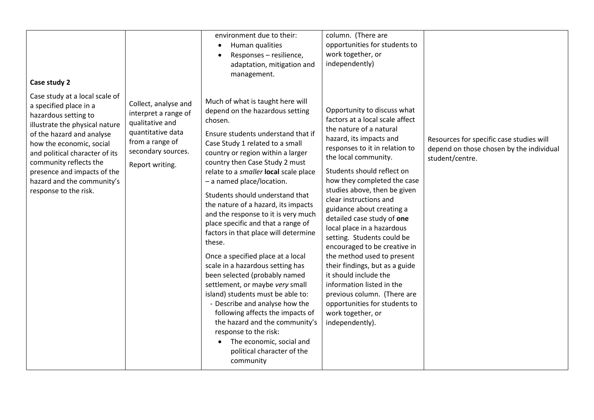| Case study 2                                                                                                                                                                                                                                                                                                                  |                                                                                                                                                  | environment due to their:<br>Human qualities<br>Responses - resilience,<br>adaptation, mitigation and<br>management.                                                                                                                                                                                                                                                                                                                                                                                                                                                                                                                                                                                                                                                                                                                                                                                    | column. (There are<br>opportunities for students to<br>work together, or<br>independently)                                                                                                                                                                                                                                                                                                                                                                                                                                                                                                                                                                                                 |                                                                                                         |
|-------------------------------------------------------------------------------------------------------------------------------------------------------------------------------------------------------------------------------------------------------------------------------------------------------------------------------|--------------------------------------------------------------------------------------------------------------------------------------------------|---------------------------------------------------------------------------------------------------------------------------------------------------------------------------------------------------------------------------------------------------------------------------------------------------------------------------------------------------------------------------------------------------------------------------------------------------------------------------------------------------------------------------------------------------------------------------------------------------------------------------------------------------------------------------------------------------------------------------------------------------------------------------------------------------------------------------------------------------------------------------------------------------------|--------------------------------------------------------------------------------------------------------------------------------------------------------------------------------------------------------------------------------------------------------------------------------------------------------------------------------------------------------------------------------------------------------------------------------------------------------------------------------------------------------------------------------------------------------------------------------------------------------------------------------------------------------------------------------------------|---------------------------------------------------------------------------------------------------------|
| Case study at a local scale of<br>a specified place in a<br>hazardous setting to<br>illustrate the physical nature<br>of the hazard and analyse<br>how the economic, social<br>and political character of its<br>community reflects the<br>presence and impacts of the<br>hazard and the community's<br>response to the risk. | Collect, analyse and<br>interpret a range of<br>qualitative and<br>quantitative data<br>from a range of<br>secondary sources.<br>Report writing. | Much of what is taught here will<br>depend on the hazardous setting<br>chosen.<br>Ensure students understand that if<br>Case Study 1 related to a small<br>country or region within a larger<br>country then Case Study 2 must<br>relate to a smaller local scale place<br>- a named place/location.<br>Students should understand that<br>the nature of a hazard, its impacts<br>and the response to it is very much<br>place specific and that a range of<br>factors in that place will determine<br>these.<br>Once a specified place at a local<br>scale in a hazardous setting has<br>been selected (probably named<br>settlement, or maybe very small<br>island) students must be able to:<br>- Describe and analyse how the<br>following affects the impacts of<br>the hazard and the community's<br>response to the risk:<br>The economic, social and<br>political character of the<br>community | Opportunity to discuss what<br>factors at a local scale affect<br>the nature of a natural<br>hazard, its impacts and<br>responses to it in relation to<br>the local community.<br>Students should reflect on<br>how they completed the case<br>studies above, then be given<br>clear instructions and<br>guidance about creating a<br>detailed case study of one<br>local place in a hazardous<br>setting. Students could be<br>encouraged to be creative in<br>the method used to present<br>their findings, but as a guide<br>it should include the<br>information listed in the<br>previous column. (There are<br>opportunities for students to<br>work together, or<br>independently). | Resources for specific case studies will<br>depend on those chosen by the individual<br>student/centre. |